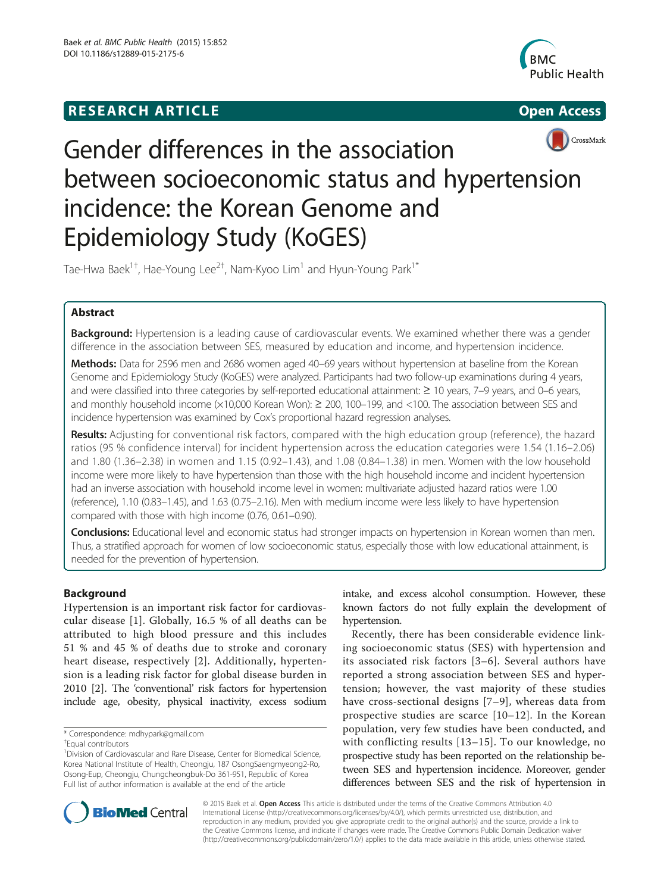# **RESEARCH ARTICLE Example 2014 12:30 The SEAR CHA R TIGGS**





# Gender differences in the association between socioeconomic status and hypertension incidence: the Korean Genome and Epidemiology Study (KoGES)

Tae-Hwa Baek $^{1\dagger}$ , Hae-Young Lee $^{2\dagger}$ , Nam-Kyoo Lim $^1$  and Hyun-Young Park $^{1*}$ 

# Abstract

Background: Hypertension is a leading cause of cardiovascular events. We examined whether there was a gender difference in the association between SES, measured by education and income, and hypertension incidence.

Methods: Data for 2596 men and 2686 women aged 40–69 years without hypertension at baseline from the Korean Genome and Epidemiology Study (KoGES) were analyzed. Participants had two follow-up examinations during 4 years, and were classified into three categories by self-reported educational attainment: ≥ 10 years, 7–9 years, and 0–6 years, and monthly household income (×10,000 Korean Won): ≥ 200, 100–199, and <100. The association between SES and incidence hypertension was examined by Cox's proportional hazard regression analyses.

Results: Adjusting for conventional risk factors, compared with the high education group (reference), the hazard ratios (95 % confidence interval) for incident hypertension across the education categories were 1.54 (1.16–2.06) and 1.80 (1.36–2.38) in women and 1.15 (0.92–1.43), and 1.08 (0.84–1.38) in men. Women with the low household income were more likely to have hypertension than those with the high household income and incident hypertension had an inverse association with household income level in women: multivariate adjusted hazard ratios were 1.00 (reference), 1.10 (0.83–1.45), and 1.63 (0.75–2.16). Men with medium income were less likely to have hypertension compared with those with high income (0.76, 0.61–0.90).

Conclusions: Educational level and economic status had stronger impacts on hypertension in Korean women than men. Thus, a stratified approach for women of low socioeconomic status, especially those with low educational attainment, is needed for the prevention of hypertension.

# Background

Hypertension is an important risk factor for cardiovascular disease [\[1\]](#page-5-0). Globally, 16.5 % of all deaths can be attributed to high blood pressure and this includes 51 % and 45 % of deaths due to stroke and coronary heart disease, respectively [[2](#page-5-0)]. Additionally, hypertension is a leading risk factor for global disease burden in 2010 [[2\]](#page-5-0). The 'conventional' risk factors for hypertension include age, obesity, physical inactivity, excess sodium

intake, and excess alcohol consumption. However, these known factors do not fully explain the development of hypertension.

Recently, there has been considerable evidence linking socioeconomic status (SES) with hypertension and its associated risk factors [[3](#page-5-0)–[6\]](#page-5-0). Several authors have reported a strong association between SES and hypertension; however, the vast majority of these studies have cross-sectional designs [[7](#page-5-0)–[9](#page-5-0)], whereas data from prospective studies are scarce [\[10](#page-5-0)–[12\]](#page-6-0). In the Korean population, very few studies have been conducted, and with conflicting results [[13](#page-6-0)–[15\]](#page-6-0). To our knowledge, no prospective study has been reported on the relationship between SES and hypertension incidence. Moreover, gender differences between SES and the risk of hypertension in



© 2015 Baek et al. Open Access This article is distributed under the terms of the Creative Commons Attribution 4.0 International License [\(http://creativecommons.org/licenses/by/4.0/](http://creativecommons.org/licenses/by/4.0/)), which permits unrestricted use, distribution, and reproduction in any medium, provided you give appropriate credit to the original author(s) and the source, provide a link to the Creative Commons license, and indicate if changes were made. The Creative Commons Public Domain Dedication waiver [\(http://creativecommons.org/publicdomain/zero/1.0/](http://creativecommons.org/publicdomain/zero/1.0/)) applies to the data made available in this article, unless otherwise stated.

<sup>\*</sup> Correspondence: [mdhypark@gmail.com](mailto:mdhypark@gmail.com) †

Equal contributors

<sup>&</sup>lt;sup>1</sup>Division of Cardiovascular and Rare Disease, Center for Biomedical Science, Korea National Institute of Health, Cheongju, 187 OsongSaengmyeong2-Ro, Osong-Eup, Cheongju, Chungcheongbuk-Do 361-951, Republic of Korea Full list of author information is available at the end of the article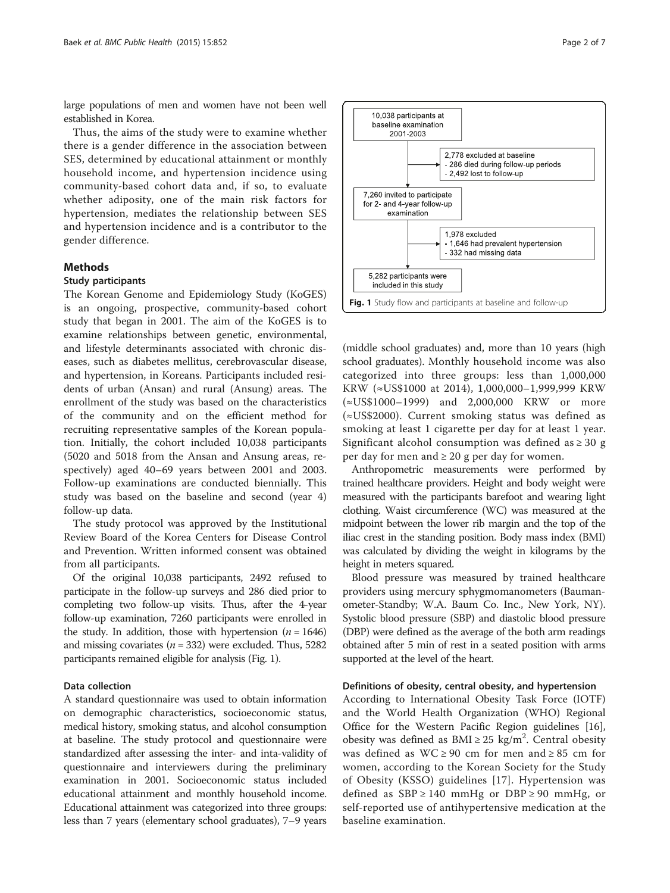large populations of men and women have not been well established in Korea.

Thus, the aims of the study were to examine whether there is a gender difference in the association between SES, determined by educational attainment or monthly household income, and hypertension incidence using community-based cohort data and, if so, to evaluate whether adiposity, one of the main risk factors for hypertension, mediates the relationship between SES and hypertension incidence and is a contributor to the gender difference.

### Methods

# Study participants

The Korean Genome and Epidemiology Study (KoGES) is an ongoing, prospective, community-based cohort study that began in 2001. The aim of the KoGES is to examine relationships between genetic, environmental, and lifestyle determinants associated with chronic diseases, such as diabetes mellitus, cerebrovascular disease, and hypertension, in Koreans. Participants included residents of urban (Ansan) and rural (Ansung) areas. The enrollment of the study was based on the characteristics of the community and on the efficient method for recruiting representative samples of the Korean population. Initially, the cohort included 10,038 participants (5020 and 5018 from the Ansan and Ansung areas, respectively) aged 40–69 years between 2001 and 2003. Follow-up examinations are conducted biennially. This study was based on the baseline and second (year 4) follow-up data.

The study protocol was approved by the Institutional Review Board of the Korea Centers for Disease Control and Prevention. Written informed consent was obtained from all participants.

Of the original 10,038 participants, 2492 refused to participate in the follow-up surveys and 286 died prior to completing two follow-up visits. Thus, after the 4-year follow-up examination, 7260 participants were enrolled in the study. In addition, those with hypertension ( $n = 1646$ ) and missing covariates ( $n = 332$ ) were excluded. Thus, 5282 participants remained eligible for analysis (Fig. 1).

#### Data collection

A standard questionnaire was used to obtain information on demographic characteristics, socioeconomic status, medical history, smoking status, and alcohol consumption at baseline. The study protocol and questionnaire were standardized after assessing the inter- and inta-validity of questionnaire and interviewers during the preliminary examination in 2001. Socioeconomic status included educational attainment and monthly household income. Educational attainment was categorized into three groups: less than 7 years (elementary school graduates), 7–9 years



(middle school graduates) and, more than 10 years (high school graduates). Monthly household income was also categorized into three groups: less than 1,000,000 KRW (≈US\$1000 at 2014), 1,000,000–1,999,999 KRW (≈US\$1000–1999) and 2,000,000 KRW or more (≈US\$2000). Current smoking status was defined as smoking at least 1 cigarette per day for at least 1 year. Significant alcohol consumption was defined as  $\geq 30$  g per day for men and  $\geq 20$  g per day for women.

Anthropometric measurements were performed by trained healthcare providers. Height and body weight were measured with the participants barefoot and wearing light clothing. Waist circumference (WC) was measured at the midpoint between the lower rib margin and the top of the iliac crest in the standing position. Body mass index (BMI) was calculated by dividing the weight in kilograms by the height in meters squared.

Blood pressure was measured by trained healthcare providers using mercury sphygmomanometers (Baumanometer-Standby; W.A. Baum Co. Inc., New York, NY). Systolic blood pressure (SBP) and diastolic blood pressure (DBP) were defined as the average of the both arm readings obtained after 5 min of rest in a seated position with arms supported at the level of the heart.

#### Definitions of obesity, central obesity, and hypertension

According to International Obesity Task Force (IOTF) and the World Health Organization (WHO) Regional Office for the Western Pacific Region guidelines [\[16](#page-6-0)], obesity was defined as  $BMI \geq 25$  kg/m<sup>2</sup>. Central obesity was defined as  $WC \ge 90$  cm for men and  $\ge 85$  cm for women, according to the Korean Society for the Study of Obesity (KSSO) guidelines [[17](#page-6-0)]. Hypertension was defined as  $SBP \ge 140$  mmHg or  $DBP \ge 90$  mmHg, or self-reported use of antihypertensive medication at the baseline examination.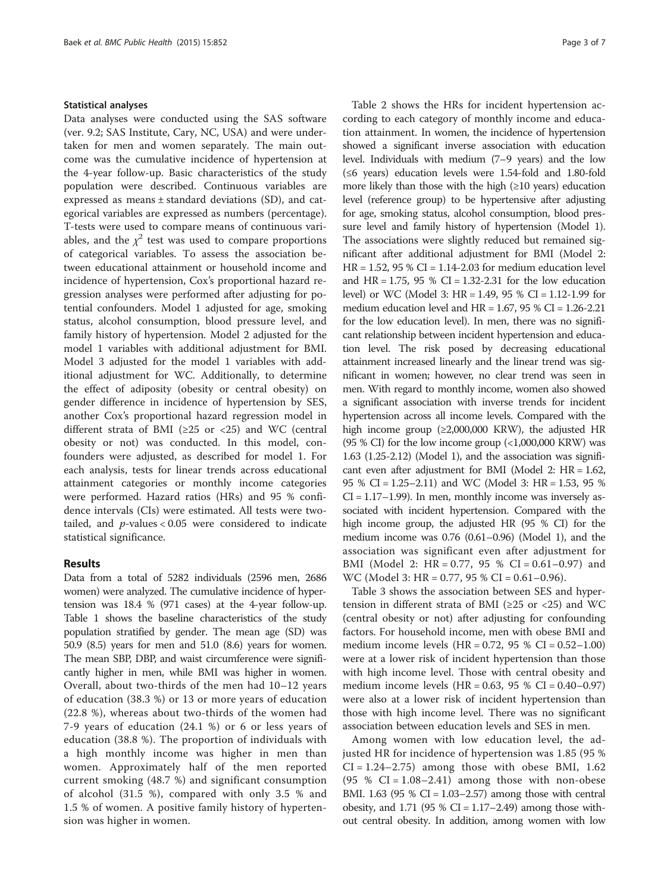#### Statistical analyses

Data analyses were conducted using the SAS software (ver. 9.2; SAS Institute, Cary, NC, USA) and were undertaken for men and women separately. The main outcome was the cumulative incidence of hypertension at the 4-year follow-up. Basic characteristics of the study population were described. Continuous variables are expressed as means ± standard deviations (SD), and categorical variables are expressed as numbers (percentage). T-tests were used to compare means of continuous variables, and the  $\chi^2$  test was used to compare proportions of categorical variables. To assess the association between educational attainment or household income and incidence of hypertension, Cox's proportional hazard regression analyses were performed after adjusting for potential confounders. Model 1 adjusted for age, smoking status, alcohol consumption, blood pressure level, and family history of hypertension. Model 2 adjusted for the model 1 variables with additional adjustment for BMI. Model 3 adjusted for the model 1 variables with additional adjustment for WC. Additionally, to determine the effect of adiposity (obesity or central obesity) on gender difference in incidence of hypertension by SES, another Cox's proportional hazard regression model in different strata of BMI ( $\geq$ 25 or <25) and WC (central obesity or not) was conducted. In this model, confounders were adjusted, as described for model 1. For each analysis, tests for linear trends across educational attainment categories or monthly income categories were performed. Hazard ratios (HRs) and 95 % confidence intervals (CIs) were estimated. All tests were twotailed, and  $p$ -values < 0.05 were considered to indicate statistical significance.

# Results

Data from a total of 5282 individuals (2596 men, 2686 women) were analyzed. The cumulative incidence of hypertension was 18.4 % (971 cases) at the 4-year follow-up. Table [1](#page-3-0) shows the baseline characteristics of the study population stratified by gender. The mean age (SD) was 50.9 (8.5) years for men and 51.0 (8.6) years for women. The mean SBP, DBP, and waist circumference were significantly higher in men, while BMI was higher in women. Overall, about two-thirds of the men had 10–12 years of education (38.3 %) or 13 or more years of education (22.8 %), whereas about two-thirds of the women had 7-9 years of education (24.1 %) or 6 or less years of education (38.8 %). The proportion of individuals with a high monthly income was higher in men than women. Approximately half of the men reported current smoking (48.7 %) and significant consumption of alcohol (31.5 %), compared with only 3.5 % and 1.5 % of women. A positive family history of hypertension was higher in women.

Table [2](#page-3-0) shows the HRs for incident hypertension according to each category of monthly income and education attainment. In women, the incidence of hypertension showed a significant inverse association with education level. Individuals with medium (7–9 years) and the low (≤6 years) education levels were 1.54-fold and 1.80-fold more likely than those with the high (≥10 years) education level (reference group) to be hypertensive after adjusting for age, smoking status, alcohol consumption, blood pressure level and family history of hypertension (Model 1). The associations were slightly reduced but remained significant after additional adjustment for BMI (Model 2: HR = 1.52, 95 % CI = 1.14-2.03 for medium education level and  $HR = 1.75$ , 95 % CI = 1.32-2.31 for the low education level) or WC (Model 3: HR = 1.49, 95 % CI = 1.12-1.99 for medium education level and  $HR = 1.67$ , 95 % CI = 1.26-2.21 for the low education level). In men, there was no significant relationship between incident hypertension and education level. The risk posed by decreasing educational attainment increased linearly and the linear trend was significant in women; however, no clear trend was seen in men. With regard to monthly income, women also showed a significant association with inverse trends for incident hypertension across all income levels. Compared with the high income group (≥2,000,000 KRW), the adjusted HR (95 % CI) for the low income group  $\langle$  <1,000,000 KRW) was 1.63 (1.25-2.12) (Model 1), and the association was significant even after adjustment for BMI (Model 2: HR = 1.62, 95 % CI = 1.25–2.11) and WC (Model 3: HR = 1.53, 95 %  $CI = 1.17-1.99$ ). In men, monthly income was inversely associated with incident hypertension. Compared with the high income group, the adjusted HR (95 % CI) for the medium income was 0.76 (0.61–0.96) (Model 1), and the association was significant even after adjustment for BMI (Model 2: HR = 0.77, 95 % CI = 0.61–0.97) and WC (Model 3: HR = 0.77, 95 % CI = 0.61–0.96).

Table [3](#page-4-0) shows the association between SES and hypertension in different strata of BMI ( $\geq$ 25 or <25) and WC (central obesity or not) after adjusting for confounding factors. For household income, men with obese BMI and medium income levels (HR = 0.72, 95 % CI = 0.52–1.00) were at a lower risk of incident hypertension than those with high income level. Those with central obesity and medium income levels (HR = 0.63, 95 % CI = 0.40–0.97) were also at a lower risk of incident hypertension than those with high income level. There was no significant association between education levels and SES in men.

Among women with low education level, the adjusted HR for incidence of hypertension was 1.85 (95 %  $CI = 1.24 - 2.75$ ) among those with obese BMI, 1.62  $(95 % CI = 1.08-2.41)$  among those with non-obese BMI. 1.63 (95 % CI =  $1.03-2.57$ ) among those with central obesity, and 1.71 (95 % CI =  $1.17-2.49$ ) among those without central obesity. In addition, among women with low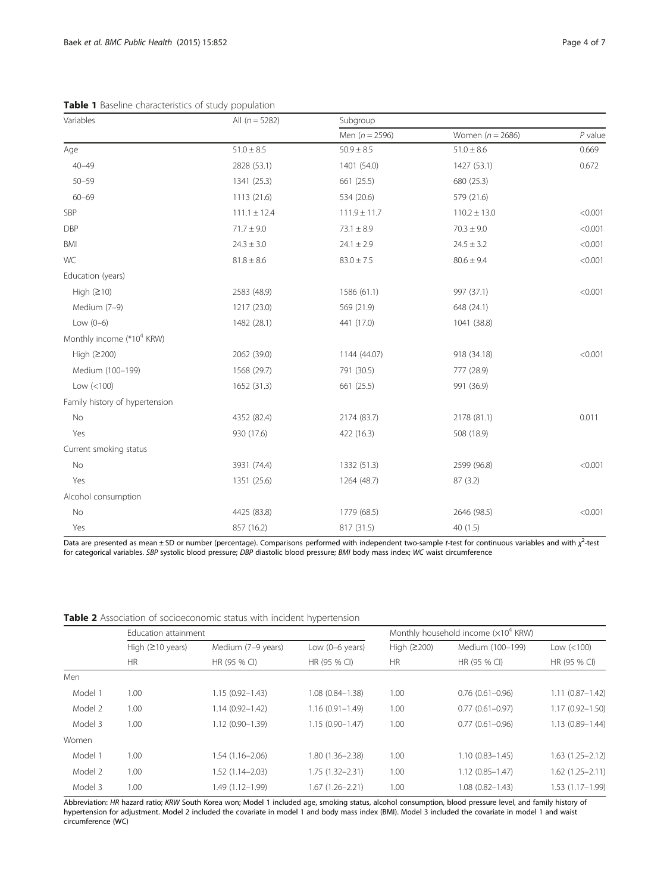<span id="page-3-0"></span>Table 1 Baseline characteristics of study population

| Variables                             | All $(n = 5282)$ | Subgroup         |                      |           |  |  |
|---------------------------------------|------------------|------------------|----------------------|-----------|--|--|
|                                       |                  | Men $(n = 2596)$ | Women ( $n = 2686$ ) | $P$ value |  |  |
| Age                                   | $51.0 \pm 8.5$   | $50.9 \pm 8.5$   | $51.0 \pm 8.6$       | 0.669     |  |  |
| $40 - 49$                             | 2828 (53.1)      | 1401 (54.0)      | 1427 (53.1)          | 0.672     |  |  |
| $50 - 59$                             | 1341 (25.3)      | 661 (25.5)       | 680 (25.3)           |           |  |  |
| $60 - 69$                             | 1113 (21.6)      | 534 (20.6)       | 579 (21.6)           |           |  |  |
| SBP                                   | $111.1 \pm 12.4$ | $111.9 \pm 11.7$ | $110.2 \pm 13.0$     | < 0.001   |  |  |
| <b>DBP</b>                            | $71.7 \pm 9.0$   | $73.1 \pm 8.9$   | $70.3 \pm 9.0$       | < 0.001   |  |  |
| <b>BMI</b>                            | $24.3 \pm 3.0$   | $24.1 \pm 2.9$   | $24.5 \pm 3.2$       | < 0.001   |  |  |
| WC                                    | $81.8 \pm 8.6$   | $83.0 \pm 7.5$   | $80.6 \pm 9.4$       | < 0.001   |  |  |
| Education (years)                     |                  |                  |                      |           |  |  |
| High $(210)$                          | 2583 (48.9)      | 1586 (61.1)      | 997 (37.1)           | < 0.001   |  |  |
| Medium (7-9)                          | 1217 (23.0)      | 569 (21.9)       | 648 (24.1)           |           |  |  |
| Low $(0-6)$                           | 1482 (28.1)      | 441 (17.0)       | 1041 (38.8)          |           |  |  |
| Monthly income (*10 <sup>4</sup> KRW) |                  |                  |                      |           |  |  |
| High $(2200)$                         | 2062 (39.0)      | 1144 (44.07)     | 918 (34.18)          | < 0.001   |  |  |
| Medium (100-199)                      | 1568 (29.7)      | 791 (30.5)       | 777 (28.9)           |           |  |  |
| Low $(<100)$                          | 1652 (31.3)      | 661 (25.5)       | 991 (36.9)           |           |  |  |
| Family history of hypertension        |                  |                  |                      |           |  |  |
| No                                    | 4352 (82.4)      | 2174 (83.7)      | 2178 (81.1)          | 0.011     |  |  |
| Yes                                   | 930 (17.6)       | 422 (16.3)       | 508 (18.9)           |           |  |  |
| Current smoking status                |                  |                  |                      |           |  |  |
| No                                    | 3931 (74.4)      | 1332 (51.3)      | 2599 (96.8)          | < 0.001   |  |  |
| Yes                                   | 1351 (25.6)      | 1264 (48.7)      | 87(3.2)              |           |  |  |
| Alcohol consumption                   |                  |                  |                      |           |  |  |
| No                                    | 4425 (83.8)      | 1779 (68.5)      | 2646 (98.5)          | < 0.001   |  |  |
| Yes                                   | 857 (16.2)       | 817 (31.5)       | 40(1.5)              |           |  |  |

Data are presented as mean ± SD or number (percentage). Comparisons performed with independent two-sample t-test for continuous variables and with  $\chi^2$ -test for categorical variables. SBP systolic blood pressure; DBP diastolic blood pressure; BMI body mass index; WC waist circumference

| Table 2 Association of socioeconomic status with incident hypertension |  |  |  |  |  |
|------------------------------------------------------------------------|--|--|--|--|--|
|------------------------------------------------------------------------|--|--|--|--|--|

|         | Education attainment       |                     |                     |               | Monthly household income $(x104$ KRW) |                     |
|---------|----------------------------|---------------------|---------------------|---------------|---------------------------------------|---------------------|
|         | High $(≥10 \text{ years})$ | Medium (7-9 years)  | Low $(0-6$ years)   | High $(2200)$ | Medium (100-199)                      | Low $(<100)$        |
|         | <b>HR</b>                  | HR (95 % CI)        | HR (95 % CI)        | <b>HR</b>     | HR (95 % CI)                          | HR (95 % CI)        |
| Men     |                            |                     |                     |               |                                       |                     |
| Model 1 | 1.00                       | $1.15(0.92 - 1.43)$ | $1.08(0.84 - 1.38)$ | 1.00          | $0.76(0.61 - 0.96)$                   | $1.11(0.87 - 1.42)$ |
| Model 2 | 1.00                       | $1.14(0.92 - 1.42)$ | $1.16(0.91 - 1.49)$ | 1.00          | $0.77(0.61 - 0.97)$                   | $1.17(0.92 - 1.50)$ |
| Model 3 | 1.00                       | $1.12(0.90 - 1.39)$ | $1.15(0.90 - 1.47)$ | 1.00          | $0.77(0.61 - 0.96)$                   | $1.13(0.89 - 1.44)$ |
| Women   |                            |                     |                     |               |                                       |                     |
| Model 1 | 1.00                       | $1.54(1.16 - 2.06)$ | $1.80(1.36 - 2.38)$ | 1.00          | $1.10(0.83 - 1.45)$                   | $1.63(1.25 - 2.12)$ |
| Model 2 | 1.00                       | $1.52(1.14 - 2.03)$ | $1.75(1.32 - 2.31)$ | 1.00          | $1.12(0.85 - 1.47)$                   | $1.62(1.25 - 2.11)$ |
| Model 3 | 1.00                       | $1.49(1.12 - 1.99)$ | $1.67(1.26 - 2.21)$ | 1.00          | $1.08(0.82 - 1.43)$                   | $1.53(1.17-1.99)$   |

Abbreviation: HR hazard ratio; KRW South Korea won; Model 1 included age, smoking status, alcohol consumption, blood pressure level, and family history of hypertension for adjustment. Model 2 included the covariate in model 1 and body mass index (BMI). Model 3 included the covariate in model 1 and waist circumference (WC)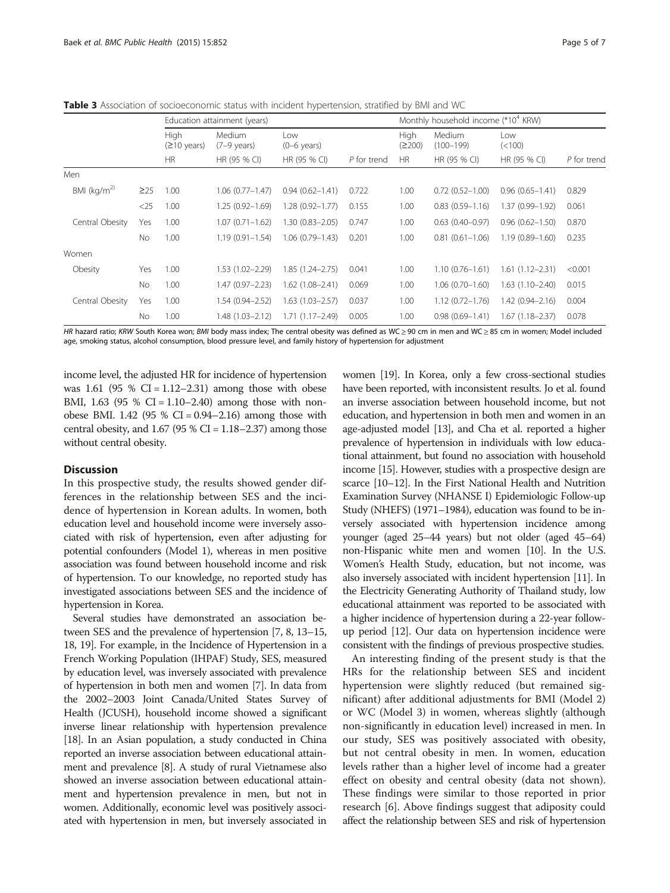<span id="page-4-0"></span>Table 3 Association of socioeconomic status with incident hypertension, stratified by BMI and WC

|                 |           | Education attainment (years)         |                                 |                              |             |                       | Monthly household income (*10 <sup>4</sup> KRW) |                     |             |  |
|-----------------|-----------|--------------------------------------|---------------------------------|------------------------------|-------------|-----------------------|-------------------------------------------------|---------------------|-------------|--|
|                 |           | <b>High</b><br>$(≥10 \text{ years})$ | Medium<br>$(7-9 \text{ years})$ | Low<br>$(0-6 \text{ years})$ |             | <b>High</b><br>(≥200) | Medium<br>$(100 - 199)$                         | Low<br>(< 100)      |             |  |
|                 |           | HR.                                  | HR (95 % CI)                    | HR (95 % CI)                 | P for trend | <b>HR</b>             | HR (95 % CI)                                    | HR (95 % CI)        | P for trend |  |
| Men             |           |                                      |                                 |                              |             |                       |                                                 |                     |             |  |
| BMI ( $kg/m2$ ) | $\geq$ 25 | 1.00                                 | $1.06(0.77 - 1.47)$             | $0.94(0.62 - 1.41)$          | 0.722       | 1.00                  | $0.72(0.52 - 1.00)$                             | $0.96(0.65 - 1.41)$ | 0.829       |  |
|                 | $<$ 25    | 1.00                                 | $1.25(0.92 - 1.69)$             | $1.28(0.92 - 1.77)$          | 0.155       | 1.00                  | $0.83(0.59 - 1.16)$                             | 1.37 (0.99-1.92)    | 0.061       |  |
| Central Obesity | Yes       | 1.00                                 | $1.07(0.71 - 1.62)$             | $1.30(0.83 - 2.05)$          | 0.747       | 1.00                  | $0.63(0.40 - 0.97)$                             | $0.96(0.62 - 1.50)$ | 0.870       |  |
|                 | No.       | 1.00                                 | $1.19(0.91 - 1.54)$             | $1.06(0.79 - 1.43)$          | 0.201       | 1.00                  | $0.81(0.61 - 1.06)$                             | $1.19(0.89 - 1.60)$ | 0.235       |  |
| Women           |           |                                      |                                 |                              |             |                       |                                                 |                     |             |  |
| Obesity         | Yes       | 1.00                                 | $1.53(1.02 - 2.29)$             | 1.85 (1.24-2.75)             | 0.041       | 1.00                  | $1.10(0.76 - 1.61)$                             | $1.61(1.12 - 2.31)$ | < 0.001     |  |
|                 | No        | 1.00                                 | $1.47(0.97 - 2.23)$             | $1.62(1.08 - 2.41)$          | 0.069       | 1.00                  | $1.06(0.70 - 1.60)$                             | $1.63(1.10 - 2.40)$ | 0.015       |  |
| Central Obesity | Yes       | 1.00                                 | 1.54 (0.94-2.52)                | $1.63(1.03 - 2.57)$          | 0.037       | 1.00                  | $1.12(0.72 - 1.76)$                             | $1.42(0.94 - 2.16)$ | 0.004       |  |
|                 | No        | 1.00                                 | $1.48(1.03 - 2.12)$             | $1.71(1.17 - 2.49)$          | 0.005       | 1.00                  | $0.98(0.69 - 1.41)$                             | $1.67(1.18 - 2.37)$ | 0.078       |  |

HR hazard ratio; KRW South Korea won; BMI body mass index; The central obesity was defined as WC ≥ 90 cm in men and WC ≥ 85 cm in women; Model included age, smoking status, alcohol consumption, blood pressure level, and family history of hypertension for adjustment

income level, the adjusted HR for incidence of hypertension was  $1.61$  (95 % CI =  $1.12 - 2.31$ ) among those with obese BMI, 1.63 (95 % CI =  $1.10-2.40$ ) among those with nonobese BMI. 1.42 (95 % CI =  $0.94-2.16$ ) among those with central obesity, and  $1.67$  (95 % CI =  $1.18-2.37$ ) among those without central obesity.

## **Discussion**

In this prospective study, the results showed gender differences in the relationship between SES and the incidence of hypertension in Korean adults. In women, both education level and household income were inversely associated with risk of hypertension, even after adjusting for potential confounders (Model 1), whereas in men positive association was found between household income and risk of hypertension. To our knowledge, no reported study has investigated associations between SES and the incidence of hypertension in Korea.

Several studies have demonstrated an association between SES and the prevalence of hypertension [[7](#page-5-0), [8,](#page-5-0) [13](#page-6-0)–[15](#page-6-0), [18](#page-6-0), [19\]](#page-6-0). For example, in the Incidence of Hypertension in a French Working Population (IHPAF) Study, SES, measured by education level, was inversely associated with prevalence of hypertension in both men and women [\[7\]](#page-5-0). In data from the 2002–2003 Joint Canada/United States Survey of Health (JCUSH), household income showed a significant inverse linear relationship with hypertension prevalence [[18](#page-6-0)]. In an Asian population, a study conducted in China reported an inverse association between educational attainment and prevalence [\[8\]](#page-5-0). A study of rural Vietnamese also showed an inverse association between educational attainment and hypertension prevalence in men, but not in women. Additionally, economic level was positively associated with hypertension in men, but inversely associated in

women [\[19](#page-6-0)]. In Korea, only a few cross-sectional studies have been reported, with inconsistent results. Jo et al. found an inverse association between household income, but not education, and hypertension in both men and women in an age-adjusted model [[13](#page-6-0)], and Cha et al. reported a higher prevalence of hypertension in individuals with low educational attainment, but found no association with household income [\[15\]](#page-6-0). However, studies with a prospective design are scarce [\[10](#page-5-0)–[12\]](#page-6-0). In the First National Health and Nutrition Examination Survey (NHANSE I) Epidemiologic Follow-up Study (NHEFS) (1971–1984), education was found to be inversely associated with hypertension incidence among younger (aged 25–44 years) but not older (aged 45–64) non-Hispanic white men and women [\[10](#page-5-0)]. In the U.S. Women's Health Study, education, but not income, was also inversely associated with incident hypertension [\[11](#page-6-0)]. In the Electricity Generating Authority of Thailand study, low educational attainment was reported to be associated with a higher incidence of hypertension during a 22-year followup period [\[12](#page-6-0)]. Our data on hypertension incidence were consistent with the findings of previous prospective studies.

An interesting finding of the present study is that the HRs for the relationship between SES and incident hypertension were slightly reduced (but remained significant) after additional adjustments for BMI (Model 2) or WC (Model 3) in women, whereas slightly (although non-significantly in education level) increased in men. In our study, SES was positively associated with obesity, but not central obesity in men. In women, education levels rather than a higher level of income had a greater effect on obesity and central obesity (data not shown). These findings were similar to those reported in prior research [\[6](#page-5-0)]. Above findings suggest that adiposity could affect the relationship between SES and risk of hypertension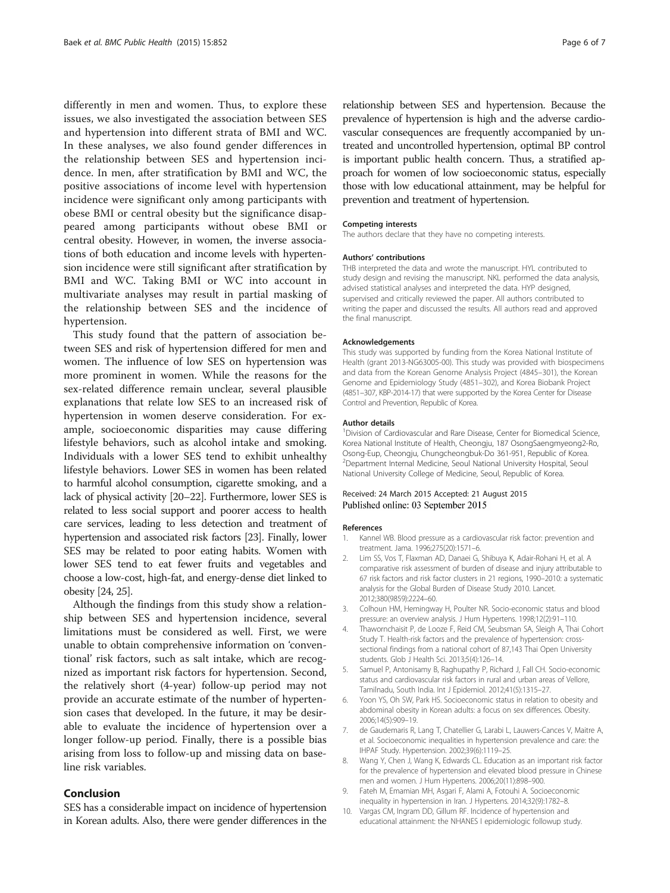<span id="page-5-0"></span>differently in men and women. Thus, to explore these issues, we also investigated the association between SES and hypertension into different strata of BMI and WC. In these analyses, we also found gender differences in the relationship between SES and hypertension incidence. In men, after stratification by BMI and WC, the positive associations of income level with hypertension incidence were significant only among participants with obese BMI or central obesity but the significance disappeared among participants without obese BMI or central obesity. However, in women, the inverse associations of both education and income levels with hypertension incidence were still significant after stratification by BMI and WC. Taking BMI or WC into account in multivariate analyses may result in partial masking of the relationship between SES and the incidence of hypertension.

This study found that the pattern of association between SES and risk of hypertension differed for men and women. The influence of low SES on hypertension was more prominent in women. While the reasons for the sex-related difference remain unclear, several plausible explanations that relate low SES to an increased risk of hypertension in women deserve consideration. For example, socioeconomic disparities may cause differing lifestyle behaviors, such as alcohol intake and smoking. Individuals with a lower SES tend to exhibit unhealthy lifestyle behaviors. Lower SES in women has been related to harmful alcohol consumption, cigarette smoking, and a lack of physical activity [\[20](#page-6-0)–[22](#page-6-0)]. Furthermore, lower SES is related to less social support and poorer access to health care services, leading to less detection and treatment of hypertension and associated risk factors [\[23\]](#page-6-0). Finally, lower SES may be related to poor eating habits. Women with lower SES tend to eat fewer fruits and vegetables and choose a low-cost, high-fat, and energy-dense diet linked to obesity [[24, 25](#page-6-0)].

Although the findings from this study show a relationship between SES and hypertension incidence, several limitations must be considered as well. First, we were unable to obtain comprehensive information on 'conventional' risk factors, such as salt intake, which are recognized as important risk factors for hypertension. Second, the relatively short (4-year) follow-up period may not provide an accurate estimate of the number of hypertension cases that developed. In the future, it may be desirable to evaluate the incidence of hypertension over a longer follow-up period. Finally, there is a possible bias arising from loss to follow-up and missing data on baseline risk variables.

# Conclusion

SES has a considerable impact on incidence of hypertension in Korean adults. Also, there were gender differences in the relationship between SES and hypertension. Because the prevalence of hypertension is high and the adverse cardiovascular consequences are frequently accompanied by untreated and uncontrolled hypertension, optimal BP control is important public health concern. Thus, a stratified approach for women of low socioeconomic status, especially those with low educational attainment, may be helpful for prevention and treatment of hypertension.

#### Competing interests

The authors declare that they have no competing interests.

#### Authors' contributions

THB interpreted the data and wrote the manuscript. HYL contributed to study design and revising the manuscript. NKL performed the data analysis, advised statistical analyses and interpreted the data. HYP designed, supervised and critically reviewed the paper. All authors contributed to writing the paper and discussed the results. All authors read and approved the final manuscript.

#### Acknowledgements

This study was supported by funding from the Korea National Institute of Health (grant 2013-NG63005-00). This study was provided with biospecimens and data from the Korean Genome Analysis Project (4845–301), the Korean Genome and Epidemiology Study (4851–302), and Korea Biobank Project (4851–307, KBP-2014-17) that were supported by the Korea Center for Disease Control and Prevention, Republic of Korea.

#### Author details

<sup>1</sup> Division of Cardiovascular and Rare Disease, Center for Biomedical Science, Korea National Institute of Health, Cheongju, 187 OsongSaengmyeong2-Ro, Osong-Eup, Cheongju, Chungcheongbuk-Do 361-951, Republic of Korea. <sup>2</sup> Department Internal Medicine, Seoul National University Hospital, Seoul National University College of Medicine, Seoul, Republic of Korea.

### Received: 24 March 2015 Accepted: 21 August 2015 Published online: 03 September 2015

#### References

- 1. Kannel WB. Blood pressure as a cardiovascular risk factor: prevention and treatment. Jama. 1996;275(20):1571–6.
- 2. Lim SS, Vos T, Flaxman AD, Danaei G, Shibuya K, Adair-Rohani H, et al. A comparative risk assessment of burden of disease and injury attributable to 67 risk factors and risk factor clusters in 21 regions, 1990–2010: a systematic analysis for the Global Burden of Disease Study 2010. Lancet. 2012;380(9859):2224–60.
- 3. Colhoun HM, Hemingway H, Poulter NR. Socio-economic status and blood pressure: an overview analysis. J Hum Hypertens. 1998;12(2):91–110.
- 4. Thawornchaisit P, de Looze F, Reid CM, Seubsman SA, Sleigh A, Thai Cohort Study T. Health-risk factors and the prevalence of hypertension: crosssectional findings from a national cohort of 87,143 Thai Open University students. Glob J Health Sci. 2013;5(4):126–14.
- 5. Samuel P, Antonisamy B, Raghupathy P, Richard J, Fall CH. Socio-economic status and cardiovascular risk factors in rural and urban areas of Vellore, Tamilnadu, South India. Int J Epidemiol. 2012;41(5):1315–27.
- 6. Yoon YS, Oh SW, Park HS. Socioeconomic status in relation to obesity and abdominal obesity in Korean adults: a focus on sex differences. Obesity. 2006;14(5):909–19.
- 7. de Gaudemaris R, Lang T, Chatellier G, Larabi L, Lauwers-Cances V, Maitre A, et al. Socioeconomic inequalities in hypertension prevalence and care: the IHPAF Study. Hypertension. 2002;39(6):1119–25.
- 8. Wang Y, Chen J, Wang K, Edwards CL. Education as an important risk factor for the prevalence of hypertension and elevated blood pressure in Chinese men and women. J Hum Hypertens. 2006;20(11):898–900.
- 9. Fateh M, Emamian MH, Asgari F, Alami A, Fotouhi A. Socioeconomic inequality in hypertension in Iran. J Hypertens. 2014;32(9):1782–8.
- 10. Vargas CM, Ingram DD, Gillum RF. Incidence of hypertension and educational attainment: the NHANES I epidemiologic followup study.